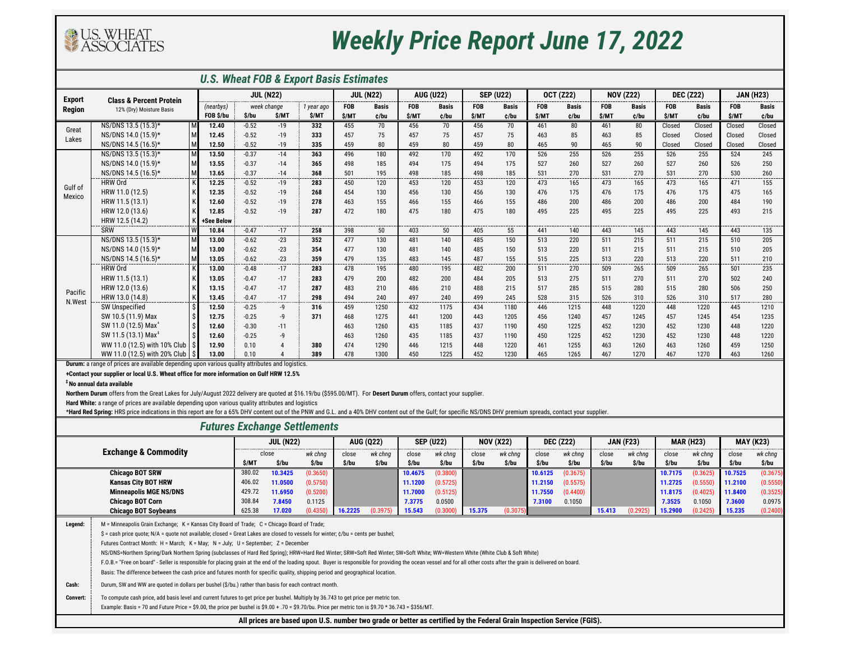

## *Weekly Price Report June 17, 2022*

| <b>U.S. Wheat FOB &amp; Export Basis Estimates</b>                                                                                                                                                              |                                                                                                                                                                  |                  |         |                |            |                  |                  |                  |                  |                  |                  |                  |              |                  |              |                  |              |                  |        |
|-----------------------------------------------------------------------------------------------------------------------------------------------------------------------------------------------------------------|------------------------------------------------------------------------------------------------------------------------------------------------------------------|------------------|---------|----------------|------------|------------------|------------------|------------------|------------------|------------------|------------------|------------------|--------------|------------------|--------------|------------------|--------------|------------------|--------|
| <b>Export</b><br>Region                                                                                                                                                                                         |                                                                                                                                                                  | <b>JUL (N22)</b> |         |                |            | <b>JUL (N22)</b> |                  | <b>AUG (U22)</b> |                  | <b>SEP (U22)</b> |                  | <b>OCT (Z22)</b> |              | <b>NOV (Z22)</b> |              | <b>DEC (Z22)</b> |              | <b>JAN (H23)</b> |        |
|                                                                                                                                                                                                                 | <b>Class &amp; Percent Protein</b><br>12% (Dry) Moisture Basis                                                                                                   | (nearbys)        |         | week change    | 1 year ago | <b>FOB</b>       | <b>Basis</b>     | <b>FOB</b>       | <b>Basis</b>     | <b>FOB</b>       | <b>Basis</b>     | <b>FOB</b>       | <b>Basis</b> | <b>FOB</b>       | <b>Basis</b> | <b>FOB</b>       | <b>Basis</b> | <b>FOB</b>       | Basis  |
|                                                                                                                                                                                                                 |                                                                                                                                                                  | FOB \$/bu        | \$/bu   | \$/MT          | \$/MT      | \$/MT            | c/bu             | \$/MT            | c/bu             | \$/MT            | c/bu             | \$/MT            | c/bu         | <b>S/MT</b>      | c/bu         | <b>S/MT</b>      | c/bu         | \$/MT            | c/bu   |
| Great<br>Lakes                                                                                                                                                                                                  | NS/DNS 13.5 (15.3)*                                                                                                                                              | 12.40            | $-0.52$ | $-19$          | 332        | 455              | 70               | 456              | 70               | 456              | 70               | 461              | 80           | 461              | 80           | Closed           | Closed       | Closed           | Closed |
|                                                                                                                                                                                                                 | NS/DNS 14.0 (15.9)*                                                                                                                                              | M<br>12.45       | $-0.52$ | $-19$          | 333        | 457              | 75               | 457              | 75               | 457              | 75               | 463              | 85           | 463              | 85           | Closed           | Closed       | Closed           | Closed |
|                                                                                                                                                                                                                 | NS/DNS 14.5 (16.5)*                                                                                                                                              | M<br>12.50       | $-0.52$ | $-19$          | 335        | 459              | 80               | 459              | 80               | 459              | 80               | 465              | 90           | 465              | 90           | Closed           | Closed       | Closed           | Closed |
|                                                                                                                                                                                                                 | NS/DNS 13.5 (15.3)*                                                                                                                                              | M<br>13.50       | $-0.37$ | $-14$          | 363        | 496              | 180              | 492              | 170              | 492              | 170              | 526              | 255          | 526              | 255          | 526              | 255          | 524              | 245    |
|                                                                                                                                                                                                                 | NS/DNS 14.0 (15.9)*                                                                                                                                              | M<br>13.55       | $-0.37$ | $-14$          | 365        | 498              | 185              | 494              | 175              | 494              | 175              | 527              | 260          | 527              | 260          | 527              | 260          | 526              | 250    |
|                                                                                                                                                                                                                 | NS/DNS 14.5 (16.5)*                                                                                                                                              | M<br>13.65       | $-0.37$ | $-14$          | 368        | 501              | 195              | 498              | 185              | 498              | 185              | 531              | 270          | 531              | 270          | 531              | 270          | 530              | 260    |
| Gulf of                                                                                                                                                                                                         | <b>HRW Ord</b>                                                                                                                                                   | 12.25            | $-0.52$ | $-19$          | 283        | 450              | 120              | 453              | 120              | 453              | 120              | 473              | 165          | 473              | 165          | 473              | 165          | 471              | 155    |
| Mexico                                                                                                                                                                                                          | HRW 11.0 (12.5)                                                                                                                                                  | 12.35            | $-0.52$ | $-19$          | 268        | 454              | 130              | 456              | 130              | 456              | 130              | 476              | 175          | 476              | 175          | 476              | 175          | 475              | 165    |
|                                                                                                                                                                                                                 | HRW 11.5 (13.1)                                                                                                                                                  | 12.60            | $-0.52$ | $-19$          | 278        | 463              | 155              | 466              | 155              | 466              | 155              | 486              | 200          | 486              | 200          | 486              | 200          | 484              | 190    |
|                                                                                                                                                                                                                 | HRW 12.0 (13.6)                                                                                                                                                  | 12.85            | $-0.52$ | $-19$          | 287        | 472              | 180              | 475              | 180              | 475              | 180              | 495              | 225          | 495              | 225          | 495              | 225          | 493              | 215    |
|                                                                                                                                                                                                                 | HRW 12.5 (14.2)                                                                                                                                                  | +See Below       |         |                |            |                  |                  |                  |                  |                  |                  |                  |              |                  |              |                  |              |                  |        |
|                                                                                                                                                                                                                 | SRW                                                                                                                                                              | 10.84            | $-0.47$ | $-17$          | 258        | 398              | 50               | 403              | 50               | 405              | 55               | 441              | 140          | 443              | 145          | 443              | 145          | 443              | 135    |
|                                                                                                                                                                                                                 | NS/DNS 13.5 (15.3)*                                                                                                                                              | 13.00            | $-0.62$ | $-23$          | 352        | 477              | 130              | 481              | 140              | 485              | 150              | 513              | 220          | 511              | 215          | 511              | 215          | 510              | 205    |
|                                                                                                                                                                                                                 | NS/DNS 14.0 (15.9)*                                                                                                                                              | M<br>13.00       | $-0.62$ | $-23$          | 354        | 477              | 130              | 481              | 140              | 485              | 150              | 513              | 220          | 511              | 215          | 511              | 215          | 510              | 205    |
|                                                                                                                                                                                                                 | NS/DNS 14.5 (16.5)*                                                                                                                                              | M<br>13.05       | $-0.62$ | $-23$          | 359        | 479              | 135              | 483              | 145              | 487              | 155              | 515              | 225          | 513              | 220          | 513              | 220          | 511              | 210    |
|                                                                                                                                                                                                                 | <b>HRW Ord</b>                                                                                                                                                   | 13.00            | $-0.48$ | $-17$          | 283        | 478              | 195              | 480              | 195              | 482              | 200              | 511              | 270          | 509              | 265          | 509              | 265          | 501              | 235    |
|                                                                                                                                                                                                                 | HRW 11.5 (13.1)                                                                                                                                                  | 13.05            | $-0.47$ | $-17$          | 283        | 479              | 200              | 482              | 200              | 484              | 205              | 513              | 275          | 511              | 270          | 511              | 270          | 502              | 240    |
| Pacific                                                                                                                                                                                                         | HRW 12.0 (13.6)                                                                                                                                                  | 13.15            | $-0.47$ | $-17$          | 287        | 483              | 210              | 486              | 210              | 488              | 215              | 517              | 285          | 515              | 280          | 515              | 280          | 506              | 250    |
| N.West                                                                                                                                                                                                          | HRW 13.0 (14.8)                                                                                                                                                  | 13.45            | $-0.47$ | $-17$          | 298        | 494              | 240              | 497              | 240              | 499              | 245              | 528              | 315          | 526              | 310          | 526              | 310          | 517              | 280    |
|                                                                                                                                                                                                                 | SW Unspecified                                                                                                                                                   | 12.50            | $-0.25$ | -9             | 316        | 459              | 1250             | 432              | 1175             | 434              | 1180             | 446              | 1215         | 448              | 1220         | 448              | 1220         | 445              | 1210   |
|                                                                                                                                                                                                                 | SW 10.5 (11.9) Max                                                                                                                                               | 12.75            | $-0.25$ | -9             | 371        | 468              | 1275             | 441              | 1200             | 443              | 1205             | 456              | 1240         | 457              | 1245         | 457              | 1245         | 454              | 1235   |
|                                                                                                                                                                                                                 | SW 11.0 (12.5) Max <sup>+</sup>                                                                                                                                  | 12.60            | $-0.30$ | $-11$          |            | 463              | 1260             | 435              | 1185             | 437              | 1190             | 450              | 1225         | 452              | 1230         | 452              | 1230         | 448              | 1220   |
|                                                                                                                                                                                                                 | SW 11.5 (13.1) Max <sup>1</sup>                                                                                                                                  | 12.60            | $-0.25$ | $-9$           |            | 463              | 1260             | 435              | 1185             | 437              | 1190             | 450              | 1225         | 452              | 1230         | 452              | 1230         | 448              | 1220   |
|                                                                                                                                                                                                                 | WW 11.0 (12.5) with 10% Club                                                                                                                                     | 12.90            | 0.10    | $\overline{A}$ | 380        | 474              | 1290             | 446              | 1215             | 448              | 1220             | 461              | 1255         | 463              | 1260         | 463              | 1260         | 459              | 1250   |
|                                                                                                                                                                                                                 | WW 11.0 (12.5) with 20% Club                                                                                                                                     | 13.00            | 0.10    |                | 389        | 478              | 1300             | 450              | 1225             | 452              | 1230             | 465              | 1265         | 467              | 1270         | 467              | 1270         | 463              | 1260   |
|                                                                                                                                                                                                                 | Durum: a range of prices are available depending upon various quality attributes and logistics.                                                                  |                  |         |                |            |                  |                  |                  |                  |                  |                  |                  |              |                  |              |                  |              |                  |        |
| +Contact your supplier or local U.S. Wheat office for more information on Gulf HRW 12.5%                                                                                                                        |                                                                                                                                                                  |                  |         |                |            |                  |                  |                  |                  |                  |                  |                  |              |                  |              |                  |              |                  |        |
| <sup>‡</sup> No annual data available                                                                                                                                                                           |                                                                                                                                                                  |                  |         |                |            |                  |                  |                  |                  |                  |                  |                  |              |                  |              |                  |              |                  |        |
|                                                                                                                                                                                                                 | Northern Durum offers from the Great Lakes for July/August 2022 delivery are quoted at \$16.19/bu (\$595.00/MT). For Desert Durum offers, contact your supplier. |                  |         |                |            |                  |                  |                  |                  |                  |                  |                  |              |                  |              |                  |              |                  |        |
| Hard White: a range of prices are available depending upon various quality attributes and logistics                                                                                                             |                                                                                                                                                                  |                  |         |                |            |                  |                  |                  |                  |                  |                  |                  |              |                  |              |                  |              |                  |        |
| *Hard Red Spring: HRS price indications in this report are for a 65% DHV content out of the PNW and G.L. and a 40% DHV content out of the Gulf; for specific NS/DNS DHV premium spreads, contact your supplier. |                                                                                                                                                                  |                  |         |                |            |                  |                  |                  |                  |                  |                  |                  |              |                  |              |                  |              |                  |        |
| <b>Futures Exchange Settlements</b>                                                                                                                                                                             |                                                                                                                                                                  |                  |         |                |            |                  |                  |                  |                  |                  |                  |                  |              |                  |              |                  |              |                  |        |
| <b>JUL (N22)</b>                                                                                                                                                                                                |                                                                                                                                                                  |                  |         |                |            |                  | <b>AUG (Q22)</b> |                  | <b>SEP (U22)</b> |                  | <b>NOV (X22)</b> | <b>DEC (Z22)</b> |              | <b>JAN (F23)</b> |              | <b>MAR (H23)</b> |              | <b>MAY (K23)</b> |        |

| <b>Exchange &amp; Commodity</b> |                                                                                                                                                                                                                       | <b>JUL (N22)</b> |         |          |         | <b>AUG (Q22)</b> | <b>SEP (U22)</b> |          | <b>NOV (X22)</b> |          | <b>DEC (Z22)</b> |          | <b>JAN (F23)</b> |          | <b>MAR (H23)</b> |          | <b>MAY (K23)</b> |          |
|---------------------------------|-----------------------------------------------------------------------------------------------------------------------------------------------------------------------------------------------------------------------|------------------|---------|----------|---------|------------------|------------------|----------|------------------|----------|------------------|----------|------------------|----------|------------------|----------|------------------|----------|
|                                 |                                                                                                                                                                                                                       | close            |         | wk chng  | close   | wk chnq          | close            | wk chng  | close            | wk chnq  | close            | wk chng  | close            | wk chng  | close            | wk chnq  | close            | wk chng  |
|                                 |                                                                                                                                                                                                                       | \$/MT            | \$/bu   | \$/bu    | \$/bu   | \$/bu            | \$/bu            | \$/bu    | \$/bu            | \$/bu    | \$/bu            | \$/bu    | \$/bu            | \$/bu    | \$/bu            | \$/bu    | \$/bu            | \$/bu    |
|                                 | <b>Chicago BOT SRW</b>                                                                                                                                                                                                | 380.02           | 10.3425 | (0.3650) |         |                  | 10.4675          | (0.3800) |                  |          | 10.6125          | (0.3675) |                  |          | 10.7175          | (0.3625) | 10.7525          | (0.3675) |
| <b>Kansas City BOT HRW</b>      |                                                                                                                                                                                                                       | 406.02           | 11.0500 | (0.5750) |         |                  | 11.1200          | (0.5725) |                  |          | 11.2150          | (0.5575) |                  |          | 11.2725          | (0.5550) | 11.2100          | (0.5550) |
| <b>Minneapolis MGE NS/DNS</b>   |                                                                                                                                                                                                                       | 429.72           | 11.6950 | (0.5200) |         |                  | 11.7000          | (0.5125) |                  |          | 11.7550          | (0.4400) |                  |          | 11.8175          | (0.4025) | 11.8400          | (0.3525) |
| <b>Chicago BOT Corn</b>         |                                                                                                                                                                                                                       | 308.84           | 7.8450  | 0.1125   |         |                  | 7.3775           | 0.0500   |                  |          | 7.3100           | 0.1050   |                  |          | 7.3525           | 0.1050   | 7.3600           | 0.0975   |
|                                 | <b>Chicago BOT Soybeans</b>                                                                                                                                                                                           | 625.38           | 17.020  | (0.4350) | 16.2225 | (0.3975)         | 15.543           | (0.3000) | 15.375           | (0.3075) |                  |          | 15.413           | (0.2925) | 15.2900          | (0.2425) | 15.235           | (0.2400) |
| Legend:                         | M = Minneapolis Grain Exchange; K = Kansas City Board of Trade; C = Chicago Board of Trade;                                                                                                                           |                  |         |          |         |                  |                  |          |                  |          |                  |          |                  |          |                  |          |                  |          |
|                                 | $\$ = cash price quote; N/A = quote not available; closed = Great Lakes are closed to vessels for winter; $\zeta$ /bu = cents per bushel;                                                                             |                  |         |          |         |                  |                  |          |                  |          |                  |          |                  |          |                  |          |                  |          |
|                                 | Futures Contract Month: H = March; K = May; N = July; U = September; Z = December                                                                                                                                     |                  |         |          |         |                  |                  |          |                  |          |                  |          |                  |          |                  |          |                  |          |
|                                 | NS/DNS=Northern Spring/Dark Northern Spring (subclasses of Hard Red Spring); HRW=Hard Red Winter; SRW=Soft Red Winter; SW=Soft White; WW=Western White (White Club & Soft White)                                      |                  |         |          |         |                  |                  |          |                  |          |                  |          |                  |          |                  |          |                  |          |
|                                 | F.O.B.= "Free on board" - Seller is responsible for placing grain at the end of the loading spout. Buyer is responsible for providing the ocean vessel and for all other costs after the grain is delivered on board. |                  |         |          |         |                  |                  |          |                  |          |                  |          |                  |          |                  |          |                  |          |
|                                 | Basis: The difference between the cash price and futures month for specific quality, shipping period and geographical location.                                                                                       |                  |         |          |         |                  |                  |          |                  |          |                  |          |                  |          |                  |          |                  |          |
| Cash:                           | Durum, SW and WW are quoted in dollars per bushel (\$/bu.) rather than basis for each contract month.                                                                                                                 |                  |         |          |         |                  |                  |          |                  |          |                  |          |                  |          |                  |          |                  |          |
| <b>Convert:</b>                 | To compute cash price, add basis level and current futures to get price per bushel. Multiply by 36.743 to get price per metric ton.                                                                                   |                  |         |          |         |                  |                  |          |                  |          |                  |          |                  |          |                  |          |                  |          |
|                                 | Example: Basis = 70 and Future Price = \$9.00, the price per bushel is \$9.00 + .70 = \$9.70/bu. Price per metric ton is \$9.70 * 36.743 = \$356/MT.                                                                  |                  |         |          |         |                  |                  |          |                  |          |                  |          |                  |          |                  |          |                  |          |
|                                 | All prices are based upon U.S. number two grade or better as certified by the Federal Grain Inspection Service (FGIS).                                                                                                |                  |         |          |         |                  |                  |          |                  |          |                  |          |                  |          |                  |          |                  |          |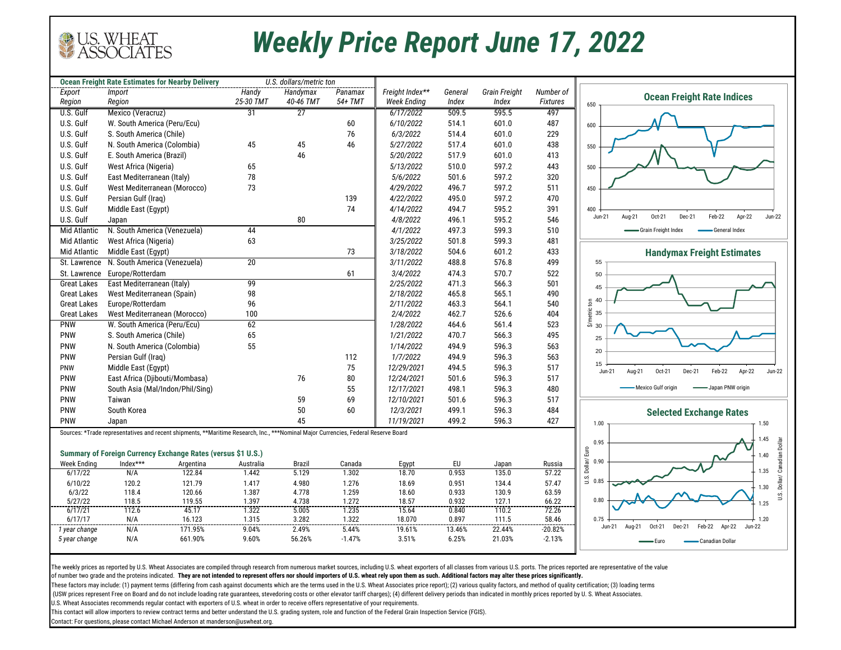

## *Weekly Price Report June 17, 2022*

|                                          | <b>Ocean Freight Rate Estimates for Nearby Delivery</b>                                                                             | U.S. dollars/metric ton |                        |                 |                    |                |                |                 |                                                                           |
|------------------------------------------|-------------------------------------------------------------------------------------------------------------------------------------|-------------------------|------------------------|-----------------|--------------------|----------------|----------------|-----------------|---------------------------------------------------------------------------|
| Export                                   | Import                                                                                                                              | Handy                   | Handymax               | Panamax         | Freight Index**    | General        | Grain Freight  | Number of       | <b>Ocean Freight Rate Indices</b>                                         |
| Region                                   | Region                                                                                                                              | 25-30 TMT               | 40-46 TMT              | 54+ TMT         | <b>Week Ending</b> | Index          | Index          | <b>Fixtures</b> | 650                                                                       |
| U.S. Gulf                                | Mexico (Veracruz)                                                                                                                   | 31                      | $\overline{27}$        |                 | 6/17/2022          | 509.5          | 595.5          | 497             |                                                                           |
| U.S. Gulf                                | W. South America (Peru/Ecu)                                                                                                         |                         |                        | 60              | 6/10/2022          | 514.1          | 601.0          | 487             | 600                                                                       |
| U.S. Gulf                                | S. South America (Chile)                                                                                                            |                         |                        | 76              | 6/3/2022           | 514.4          | 601.0          | 229             |                                                                           |
| U.S. Gulf                                | N. South America (Colombia)                                                                                                         | 45                      | 45                     | 46              | 5/27/2022          | 517.4          | 601.0          | 438             | 550                                                                       |
| U.S. Gulf                                | E. South America (Brazil)                                                                                                           |                         | 46                     |                 | 5/20/2022          | 517.9          | 601.0          | 413             |                                                                           |
| U.S. Gulf                                | West Africa (Nigeria)                                                                                                               | 65                      |                        |                 | 5/13/2022          | 510.0          | 597.2          | 443             | 500                                                                       |
| U.S. Gulf                                | East Mediterranean (Italy)                                                                                                          | 78                      |                        |                 | 5/6/2022           | 501.6          | 597.2          | 320             |                                                                           |
| U.S. Gulf                                | West Mediterranean (Morocco)                                                                                                        | 73                      |                        |                 | 4/29/2022          | 496.7          | 597.2          | 511             | 450                                                                       |
| U.S. Gulf                                | Persian Gulf (Iraq)                                                                                                                 |                         |                        | 139             | 4/22/2022          | 495.0          | 597.2          | 470             |                                                                           |
| U.S. Gulf                                | Middle East (Egypt)                                                                                                                 |                         |                        | 74              | 4/14/2022          | 494.7          | 595.2          | 391             | 400                                                                       |
| U.S. Gulf                                | Japan                                                                                                                               |                         | 80                     |                 | 4/8/2022           | 496.1          | 595.2          | 546             | Aug-21<br>Oct-21<br>Dec-21<br>Feb-22<br>Apr-22<br>Jun-22<br>Jun-21        |
| Mid Atlantic                             | N. South America (Venezuela)                                                                                                        | 44                      |                        |                 | 4/1/2022           | 497.3          | 599.3          | 510             | -Grain Freight Index<br>General Index                                     |
| <b>Mid Atlantic</b>                      | West Africa (Nigeria)                                                                                                               | 63                      |                        |                 | 3/25/2022          | 501.8          | 599.3          | 481             |                                                                           |
| <b>Mid Atlantic</b>                      | Middle East (Eqypt)                                                                                                                 |                         |                        | 73              | 3/18/2022          | 504.6          | 601.2          | 433             |                                                                           |
|                                          | N. South America (Venezuela)                                                                                                        | 20                      |                        |                 | 3/11/2022          | 488.8          | 576.8          | 499             | <b>Handymax Freight Estimates</b><br>55                                   |
| St. Lawrence                             | Europe/Rotterdam                                                                                                                    |                         |                        |                 | 3/4/2022           | 474.3          | 570.7          | 522             |                                                                           |
| St. Lawrence                             | East Mediterranean (Italy)                                                                                                          | 99                      |                        | 61              | 2/25/2022          | 471.3          | 566.3          | 501             | 50                                                                        |
| <b>Great Lakes</b><br><b>Great Lakes</b> | West Mediterranean (Spain)                                                                                                          | 98                      |                        |                 | 2/18/2022          | 465.8          | 565.1          | 490             | 45                                                                        |
| <b>Great Lakes</b>                       | Europe/Rotterdam                                                                                                                    | 96                      |                        |                 | 2/11/2022          | 463.3          | 564.1          | 540             | 40<br>$\overline{5}$                                                      |
| <b>Great Lakes</b>                       | West Mediterranean (Morocco)                                                                                                        | 100                     |                        |                 | 2/4/2022           | 462.7          | 526.6          | 404             |                                                                           |
| <b>PNW</b>                               | W. South America (Peru/Ecu)                                                                                                         | 62                      |                        |                 | 1/28/2022          | 464.6          | 561.4          | 523             | $\frac{5}{2}$ as<br>30                                                    |
| PNW                                      | S. South America (Chile)                                                                                                            | 65                      |                        |                 | 1/21/2022          | 470.7          | 566.3          | 495             |                                                                           |
| PNW                                      | N. South America (Colombia)                                                                                                         | 55                      |                        |                 | 1/14/2022          | 494.9          | 596.3          | 563             | 25                                                                        |
| PNW                                      | Persian Gulf (Iraq)                                                                                                                 |                         |                        | 112             | 1/7/2022           | 494.9          | 596.3          | 563             | 20                                                                        |
|                                          |                                                                                                                                     |                         |                        | 75              | 12/29/2021         | 494.5          | 596.3          | 517             | 15                                                                        |
| PNW                                      | Middle East (Eqypt)                                                                                                                 |                         |                        |                 |                    |                |                |                 | Feb-22<br>Apr-22<br>$Jun-22$<br>Aug-21<br>Oct-21<br>Dec-21<br>Jun-21      |
| PNW                                      | East Africa (Djibouti/Mombasa)                                                                                                      |                         | 76                     | 80              | 12/24/2021         | 501.6          | 596.3          | 517             | - Mexico Gulf origin<br>Japan PNW origin                                  |
| <b>PNW</b>                               | South Asia (Mal/Indon/Phil/Sing)                                                                                                    |                         |                        | 55              | 12/17/2021         | 498.1          | 596.3          | 480             |                                                                           |
| <b>PNW</b>                               | Taiwan                                                                                                                              |                         | 59                     | 69              | 12/10/2021         | 501.6          | 596.3          | 517             |                                                                           |
| PNW                                      | South Korea                                                                                                                         |                         | 50                     | 60              | 12/3/2021          | 499.1          | 596.3          | 484             | <b>Selected Exchange Rates</b>                                            |
| PNW                                      | Japan                                                                                                                               |                         | 45                     |                 | 11/19/2021         | 499.2          | 596.3          | 427             | 1.00<br>1.50                                                              |
|                                          | Sources: *Trade representatives and recent shipments, **Maritime Research, Inc., ***Nominal Major Currencies, Federal Reserve Board |                         |                        |                 |                    |                |                |                 | 1.45                                                                      |
|                                          |                                                                                                                                     |                         |                        |                 |                    |                |                |                 | U.S. Dollar/ Canadian Dollar<br>0.95                                      |
|                                          | Summary of Foreign Currency Exchange Rates (versus \$1 U.S.)                                                                        |                         |                        |                 |                    |                |                |                 | 1.40<br>0.90                                                              |
| <b>Week Ending</b><br>6/17/22            | Index***<br>Argentina<br>N/A<br>122.84                                                                                              | Australia<br>1.442      | <b>Brazil</b><br>5.129 | Canada<br>1.302 | Egypt<br>18.70     | EU<br>0.953    | Japan<br>135.0 | Russia<br>57.22 | Dollar/Euro<br>1.35                                                       |
|                                          |                                                                                                                                     |                         |                        |                 |                    |                |                |                 | U.S.<br>0.85                                                              |
| 6/10/22<br>6/3/22                        | 120.2<br>121.79<br>118.4<br>120.66                                                                                                  | 1.417<br>1.387          | 4.980<br>4.778         | 1.276<br>1.259  | 18.69<br>18.60     | 0.951<br>0.933 | 134.4<br>130.9 | 57.47<br>63.59  | 1.30                                                                      |
| 5/27/22                                  | 118.5<br>119.55                                                                                                                     | 1.397                   | 4.738                  | 1.272           | 18.57              | 0.932          | 127.1          | 66.22           | 0.80<br>1.25                                                              |
| 6/17/21                                  | 45.17<br>112.6                                                                                                                      | 1.322                   | 5.005                  | 1.235           | 15.64              | 0.840          | 110.2          | 72.26           |                                                                           |
| 6/17/17                                  | N/A<br>16.123                                                                                                                       | 1.315                   | 3.282                  | 1.322           | 18.070             | 0.897          | 111.5          | 58.46           | 0.75<br>1.20                                                              |
| 1 year change                            | N/A<br>171.95%                                                                                                                      | 9.04%                   | 2.49%                  | 5.44%           | 19.61%             | 13.46%         | 22.44%         | $-20.82%$       | Feb-22<br>Apr-22<br>Aug-21<br>Dec-21<br><b>Jun-22</b><br>Jun-21<br>Oct-21 |
| 5 year change                            | N/A<br>661.90%                                                                                                                      | 9.60%                   | 56.26%                 | $-1.47%$        | 3.51%              | 6.25%          | 21.03%         | $-2.13%$        | - Canadian Dollar<br>• Euro                                               |
|                                          |                                                                                                                                     |                         |                        |                 |                    |                |                |                 |                                                                           |

The weekly prices as reported by U.S. Wheat Associates are compiled through research from numerous market sources, including U.S. wheat exporters of all classes from various U.S. ports. The prices reported are representati

of number two grade and the proteins indicated. **They are not intended to represent offers nor should importers of U.S. wheat rely upon them as such. Additional factors may alter these prices significantly.** 

These factors may include: (1) payment terms (differing from cash against documents which are the terms used in the U.S. Wheat Associates price report); (2) various quality factors, and method of quality certification; (3)

(USW prices represent Free on Board and do not include loading rate quarantees, stevedoring costs or other elevator tariff charges); (4) different delivery periods than indicated in monthly prices reported by U. S. Wheat A

U.S. Wheat Associates recommends regular contact with exporters of U.S. wheat in order to receive offers representative of your requirements.

This contact will allow importers to review contract terms and better understand the U.S. grading system, role and function of the Federal Grain Inspection Service (FGIS).

Contact: For questions, please contact Michael Anderson at manderson@uswheat.org.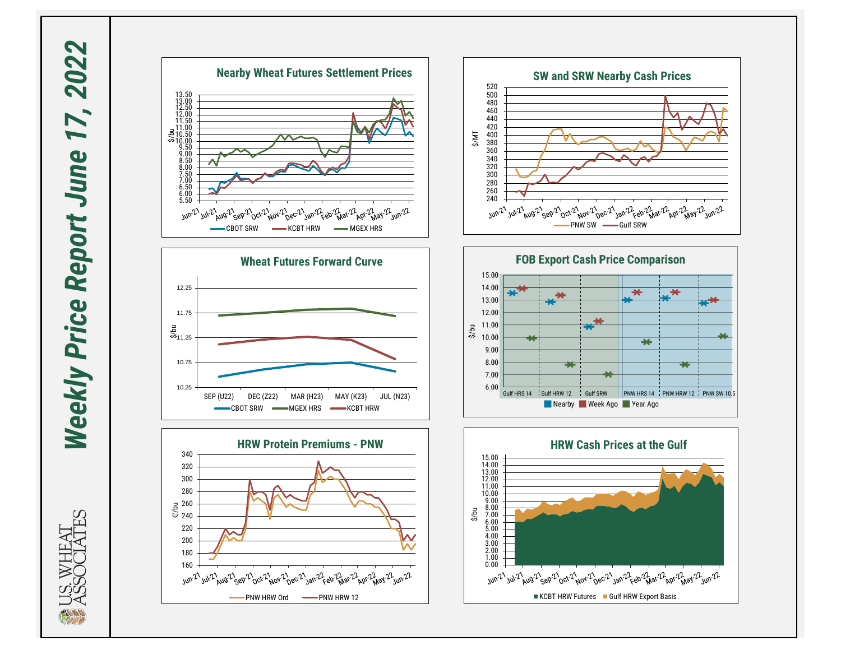**Weekly Price Report June 17, 2022** *Weekly Price Report June 17, 2022*